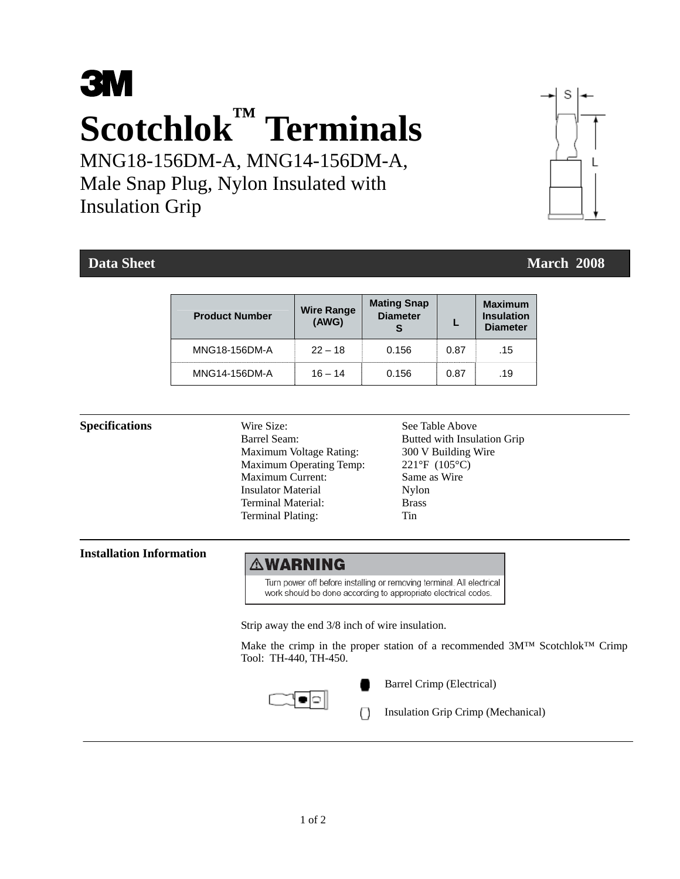# **3M Scotchlok™ Terminals**

MNG18-156DM-A, MNG14-156DM-A, Male Snap Plug, Nylon Insulated with Insulation Grip

## **Data Sheet** March 2008 **March 2008**

S

| <b>Product Number</b> | <b>Wire Range</b><br>(AWG) | <b>Mating Snap</b><br><b>Diameter</b> |      | <b>Maximum</b><br><b>Insulation</b><br><b>Diameter</b> |
|-----------------------|----------------------------|---------------------------------------|------|--------------------------------------------------------|
| MNG18-156DM-A         | $22 - 18$                  | 0.156                                 | 0.87 | .15                                                    |
| MNG14-156DM-A         | $16 - 14$                  | 0.156                                 | 0.87 | .19                                                    |

**Specifications** Wire Size: See Table Above Barrel Seam: Butted with Insulation Grip Maximum Voltage Rating: 300 V Building Wire Maximum Operating Temp: 221°F (105°C) Maximum Current: Same as Wire Insulator Material Nylon Terminal Material: Brass Terminal Plating: Tin

**Installation Information** 

## **AWARNING**

Turn power off before installing or removing terminal. All electrical work should be done according to appropriate electrical codes.

Strip away the end 3/8 inch of wire insulation.

 Make the crimp in the proper station of a recommended 3M™ Scotchlok™ Crimp Tool: TH-440, TH-450.



Barrel Crimp (Electrical)

Insulation Grip Crimp (Mechanical)

1 of 2